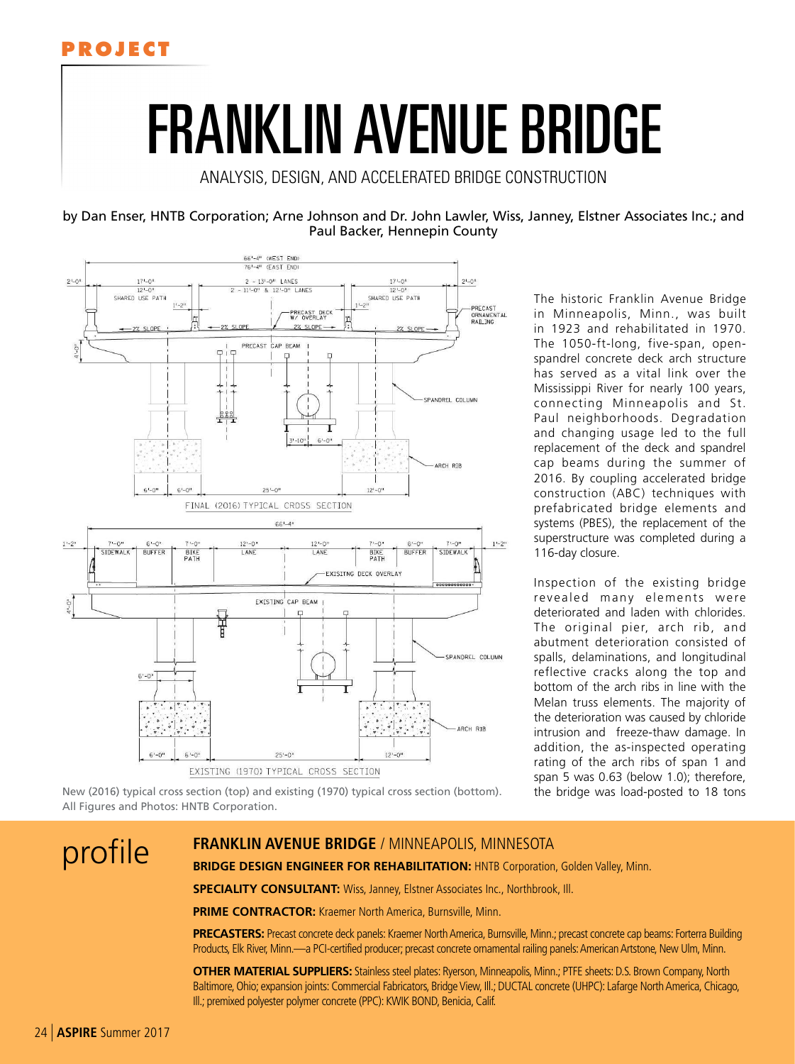

# FRANKLIN AVENUE BRIDGE

ANALYSIS, DESIGN, AND ACCELERATED BRIDGE CONSTRUCTION

by Dan Enser, HNTB Corporation; Arne Johnson and Dr. John Lawler, Wiss, Janney, Elstner Associates Inc.; and Paul Backer, Hennepin County



The historic Franklin Avenue Bridge in Minneapolis, Minn., was built in 1923 and rehabilitated in 1970. The 1050-ft-long, five-span, openspandrel concrete deck arch structure has served as a vital link over the Mississippi River for nearly 100 years, connecting Minneapolis and St. Paul neighborhoods. Degradation and changing usage led to the full replacement of the deck and spandrel cap beams during the summer of 2016. By coupling accelerated bridge construction (ABC) techniques with prefabricated bridge elements and systems (PBES), the replacement of the superstructure was completed during a 116-day closure.

Inspection of the existing bridge revealed many elements were deteriorated and laden with chlorides. The original pier, arch rib, and abutment deterioration consisted of spalls, delaminations, and longitudinal reflective cracks along the top and bottom of the arch ribs in line with the Melan truss elements. The majority of the deterioration was caused by chloride intrusion and freeze-thaw damage. In addition, the as-inspected operating rating of the arch ribs of span 1 and span 5 was 0.63 (below 1.0); therefore, the bridge was load-posted to 18 tons

New (2016) typical cross section (top) and existing (1970) typical cross section (bottom). All Figures and Photos: HNTB Corporation.

## profile **FRANKLIN AVENUE BRIDGE** / MINNEAPOLIS, MINNESOTA

**BRIDGE DESIGN ENGINEER FOR REHABILITATION: HNTB Corporation, Golden Valley, Minn.** 

**SPECIALITY CONSULTANT:** Wiss, Janney, Elstner Associates Inc., Northbrook, Ill.

**PRIME CONTRACTOR:** Kraemer North America, Burnsville, Minn.

**PRECASTERS:** Precast concrete deck panels: Kraemer North America, Burnsville, Minn.; precast concrete cap beams: Forterra Building Products, Elk River, Minn.—a PCI-certified producer; precast concrete ornamental railing panels: American Artstone, New Ulm, Minn.

**OTHER MATERIAL SUPPLIERS:** Stainless steel plates: Ryerson, Minneapolis, Minn.; PTFE sheets: D.S. Brown Company, North Baltimore, Ohio; expansion joints: Commercial Fabricators, Bridge View, Ill.; DUCTAL concrete (UHPC): Lafarge North America, Chicago, Ill.; premixed polyester polymer concrete (PPC): KWIK BOND, Benicia, Calif.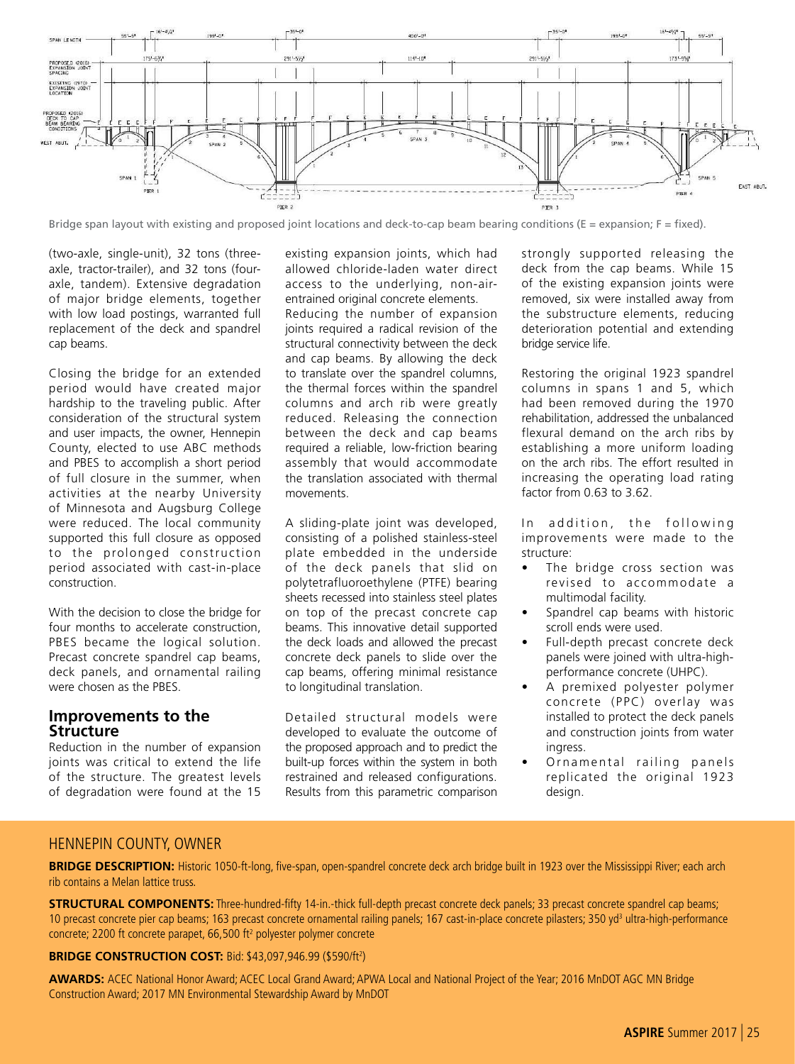

Bridge span layout with existing and proposed joint locations and deck-to-cap beam bearing conditions (E = expansion; F = fixed).

(two-axle, single-unit), 32 tons (threeaxle, tractor-trailer), and 32 tons (fouraxle, tandem). Extensive degradation of major bridge elements, together with low load postings, warranted full replacement of the deck and spandrel cap beams.

Closing the bridge for an extended period would have created major hardship to the traveling public. After consideration of the structural system and user impacts, the owner, Hennepin County, elected to use ABC methods and PBES to accomplish a short period of full closure in the summer, when activities at the nearby University of Minnesota and Augsburg College were reduced. The local community supported this full closure as opposed to the prolonged construction period associated with cast-in-place construction.

With the decision to close the bridge for four months to accelerate construction, PBES became the logical solution. Precast concrete spandrel cap beams, deck panels, and ornamental railing were chosen as the PBES.

#### **Improvements to the Structure**

Reduction in the number of expansion joints was critical to extend the life of the structure. The greatest levels of degradation were found at the 15

existing expansion joints, which had allowed chloride-laden water direct access to the underlying, non-airentrained original concrete elements. Reducing the number of expansion joints required a radical revision of the structural connectivity between the deck and cap beams. By allowing the deck to translate over the spandrel columns, the thermal forces within the spandrel columns and arch rib were greatly reduced. Releasing the connection between the deck and cap beams required a reliable, low-friction bearing assembly that would accommodate the translation associated with thermal movements.

A sliding-plate joint was developed, consisting of a polished stainless-steel plate embedded in the underside of the deck panels that slid on polytetrafluoroethylene (PTFE) bearing sheets recessed into stainless steel plates on top of the precast concrete cap beams. This innovative detail supported the deck loads and allowed the precast concrete deck panels to slide over the cap beams, offering minimal resistance to longitudinal translation.

Detailed structural models were developed to evaluate the outcome of the proposed approach and to predict the built-up forces within the system in both restrained and released configurations. Results from this parametric comparison strongly supported releasing the deck from the cap beams. While 15 of the existing expansion joints were removed, six were installed away from the substructure elements, reducing deterioration potential and extending bridge service life.

Restoring the original 1923 spandrel columns in spans 1 and 5, which had been removed during the 1970 rehabilitation, addressed the unbalanced flexural demand on the arch ribs by establishing a more uniform loading on the arch ribs. The effort resulted in increasing the operating load rating factor from 0.63 to 3.62.

In addition, the following improvements were made to the structure:

- The bridge cross section was revised to accommodate a multimodal facility.
- Spandrel cap beams with historic scroll ends were used.
- Full-depth precast concrete deck panels were joined with ultra-highperformance concrete (UHPC).
- A premixed polyester polymer concrete (PPC) overlay was installed to protect the deck panels and construction joints from water ingress.
- Ornamental railing panels replicated the original 1923 design.

#### HENNEPIN COUNTY, OWNER

**BRIDGE DESCRIPTION:** Historic 1050-ft-long, five-span, open-spandrel concrete deck arch bridge built in 1923 over the Mississippi River; each arch rib contains a Melan lattice truss.

**STRUCTURAL COMPONENTS:** Three-hundred-fifty 14-in.-thick full-depth precast concrete deck panels; 33 precast concrete spandrel cap beams; 10 precast concrete pier cap beams; 163 precast concrete ornamental railing panels; 167 cast-in-place concrete pilasters; 350 yd<sup>3</sup> ultra-high-performance concrete; 2200 ft concrete parapet, 66,500 ft<sup>2</sup> polyester polymer concrete

#### **BRIDGE CONSTRUCTION COST: Bid: \$43,097,946.99 (\$590/ft<sup>2</sup>)**

**AWARDS:** ACEC National Honor Award; ACEC Local Grand Award; APWA Local and National Project of the Year; 2016 MnDOT AGC MN Bridge Construction Award; 2017 MN Environmental Stewardship Award by MnDOT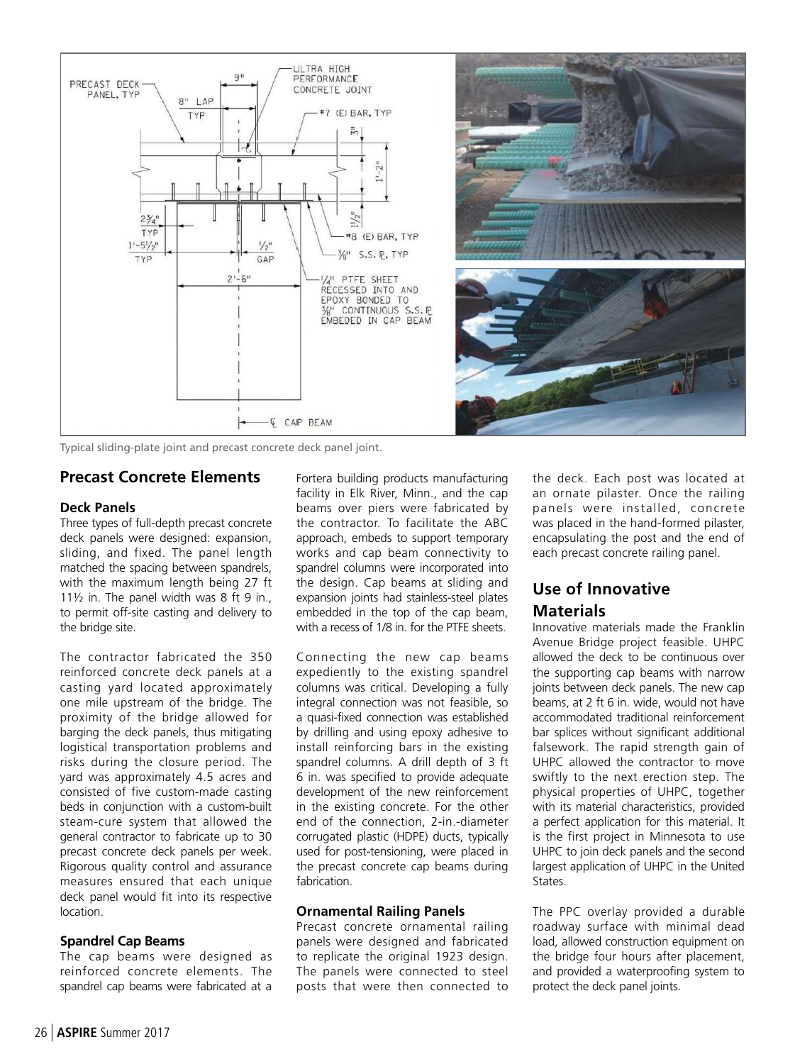

Typical sliding-plate joint and precast concrete deck panel joint.

#### **Precast Concrete Elements**

#### **Deck Panels**

Three types of full-depth precast concrete deck panels were designed: expansion, sliding, and fixed. The panel length matched the spacing between spandrels, with the maximum length being 27 ft 11½ in. The panel width was 8 ft 9 in., to permit off-site casting and delivery to the bridge site.

The contractor fabricated the 350 reinforced concrete deck panels at a casting yard located approximately one mile upstream of the bridge. The proximity of the bridge allowed for barging the deck panels, thus mitigating logistical transportation problems and risks during the closure period. The yard was approximately 4.5 acres and consisted of five custom-made casting beds in conjunction with a custom-built steam-cure system that allowed the general contractor to fabricate up to 30 precast concrete deck panels per week. Rigorous quality control and assurance measures ensured that each unique deck panel would fit into its respective location.

#### **Spandrel Cap Beams**

The cap beams were designed as reinforced concrete elements. The spandrel cap beams were fabricated at a Fortera building products manufacturing facility in Elk River, Minn., and the cap beams over piers were fabricated by the contractor. To facilitate the ABC approach, embeds to support temporary works and cap beam connectivity to spandrel columns were incorporated into the design. Cap beams at sliding and expansion joints had stainless-steel plates embedded in the top of the cap beam, with a recess of 1/8 in. for the PTFE sheets.

Connecting the new cap beams expediently to the existing spandrel columns was critical. Developing a fully integral connection was not feasible, so a quasi-fixed connection was established by drilling and using epoxy adhesive to install reinforcing bars in the existing spandrel columns. A drill depth of 3 ft 6 in. was specified to provide adequate development of the new reinforcement in the existing concrete. For the other end of the connection, 2-in.-diameter corrugated plastic (HDPE) ducts, typically used for post-tensioning, were placed in the precast concrete cap beams during fabrication.

#### **Ornamental Railing Panels**

Precast concrete ornamental railing panels were designed and fabricated to replicate the original 1923 design. The panels were connected to steel posts that were then connected to the deck. Each post was located at an ornate pilaster. Once the railing panels were installed, concrete was placed in the hand-formed pilaster, encapsulating the post and the end of each precast concrete railing panel.

### **Use of Innovative Materials**

Innovative materials made the Franklin Avenue Bridge project feasible. UHPC allowed the deck to be continuous over the supporting cap beams with narrow joints between deck panels. The new cap beams, at 2 ft 6 in. wide, would not have accommodated traditional reinforcement bar splices without significant additional falsework. The rapid strength gain of UHPC allowed the contractor to move swiftly to the next erection step. The physical properties of UHPC, together with its material characteristics, provided a perfect application for this material. It is the first project in Minnesota to use UHPC to join deck panels and the second largest application of UHPC in the United States.

The PPC overlay provided a durable roadway surface with minimal dead load, allowed construction equipment on the bridge four hours after placement, and provided a waterproofing system to protect the deck panel joints.